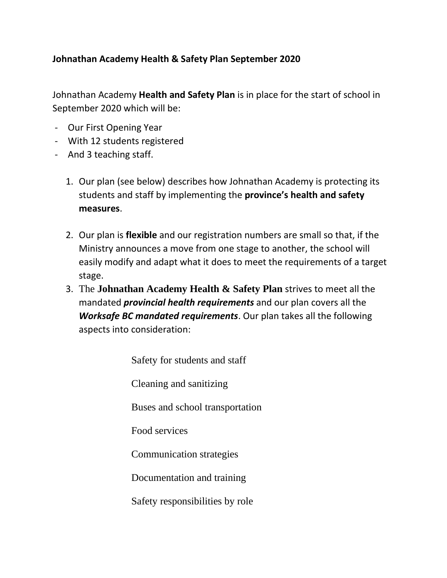# **Johnathan Academy Health & Safety Plan September 2020**

Johnathan Academy **Health and Safety Plan** is in place for the start of school in September 2020 which will be:

- Our First Opening Year
- With 12 students registered
- And 3 teaching staff.
	- 1. Our plan (see below) describes how Johnathan Academy is protecting its students and staff by implementing the **province's health and safety measures**.
	- 2. Our plan is **flexible** and our registration numbers are small so that, if the Ministry announces a move from one stage to another, the school will easily modify and adapt what it does to meet the requirements of a target stage.
	- 3. The **Johnathan Academy Health & Safety Plan** strives to meet all the mandated *provincial health requirements* and our plan covers all the *Worksafe BC mandated requirements*. Our plan takes all the following aspects into consideration:

[Safety for students and staff](https://www.worksafebc.com/en/about-us/covid-19-updates/covid-19-returning-safe-operation/education#collapse-98C08CFCDE984450968B0415086AFB6E) 

[Cleaning and sanitizing](https://www.worksafebc.com/en/about-us/covid-19-updates/covid-19-returning-safe-operation/education#collapse-81005DDF10794188A2E7932795449507) 

[Buses and school transportation](https://www.worksafebc.com/en/about-us/covid-19-updates/covid-19-returning-safe-operation/education#collapse-DEFA3AD8F7864762811ACBD6B3528BE4) 

[Food services](https://www.worksafebc.com/en/about-us/covid-19-updates/covid-19-returning-safe-operation/education#collapse-D7EA3B3C165243EFA21D2C4BE755A0B1) 

[Communication strategies](https://www.worksafebc.com/en/about-us/covid-19-updates/covid-19-returning-safe-operation/education#collapse-9E0574DC40C84C6C830A304C0A4F5371) 

[Documentation](https://www.worksafebc.com/en/about-us/covid-19-updates/covid-19-returning-safe-operation/education#collapse-E4505A0154F6474EB0909D826C7443FF) and training

[Safety responsibilities by role](https://www.worksafebc.com/en/about-us/covid-19-updates/covid-19-returning-safe-operation/education#collapse-8398642F027E458EB62451830A3653CE)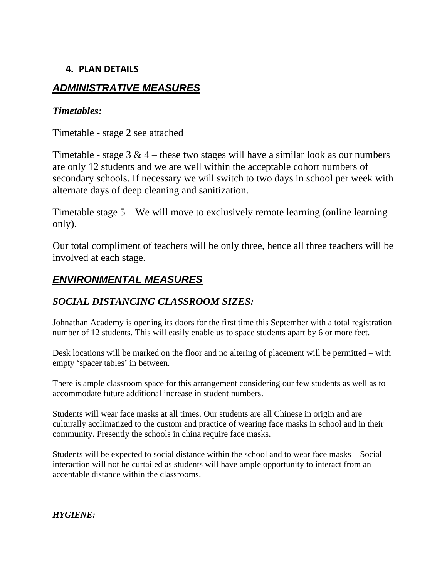## **4. PLAN DETAILS**

# *ADMINISTRATIVE MEASURES*

### *Timetables:*

Timetable - stage 2 see attached

Timetable - stage  $3 \& 4$  – these two stages will have a similar look as our numbers are only 12 students and we are well within the acceptable cohort numbers of secondary schools. If necessary we will switch to two days in school per week with alternate days of deep cleaning and sanitization.

Timetable stage 5 – We will move to exclusively remote learning (online learning only).

Our total compliment of teachers will be only three, hence all three teachers will be involved at each stage.

# *ENVIRONMENTAL MEASURES*

## *SOCIAL DISTANCING CLASSROOM SIZES:*

Johnathan Academy is opening its doors for the first time this September with a total registration number of 12 students. This will easily enable us to space students apart by 6 or more feet.

Desk locations will be marked on the floor and no altering of placement will be permitted – with empty 'spacer tables' in between.

There is ample classroom space for this arrangement considering our few students as well as to accommodate future additional increase in student numbers.

Students will wear face masks at all times. Our students are all Chinese in origin and are culturally acclimatized to the custom and practice of wearing face masks in school and in their community. Presently the schools in china require face masks.

Students will be expected to social distance within the school and to wear face masks – Social interaction will not be curtailed as students will have ample opportunity to interact from an acceptable distance within the classrooms.

*HYGIENE:*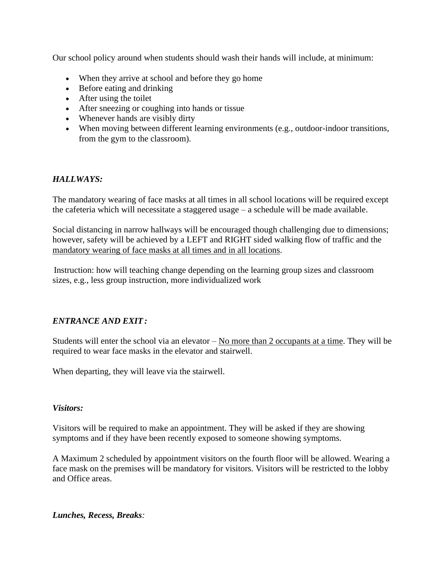Our school policy around when students should wash their hands will include, at minimum:

- When they arrive at school and before they go home
- Before eating and drinking
- After using the toilet
- After sneezing or coughing into hands or tissue
- Whenever hands are visibly dirty
- When moving between different learning environments (e.g., outdoor-indoor transitions, from the gym to the classroom).

### *HALLWAYS:*

The mandatory wearing of face masks at all times in all school locations will be required except the cafeteria which will necessitate a staggered usage – a schedule will be made available.

Social distancing in narrow hallways will be encouraged though challenging due to dimensions; however, safety will be achieved by a LEFT and RIGHT sided walking flow of traffic and the mandatory wearing of face masks at all times and in all locations.

Instruction: how will teaching change depending on the learning group sizes and classroom sizes, e.g., less group instruction, more individualized work

### *ENTRANCE AND EXIT :*

Students will enter the school via an elevator  $-$  No more than 2 occupants at a time. They will be required to wear face masks in the elevator and stairwell.

When departing, they will leave via the stairwell.

### *Visitors:*

Visitors will be required to make an appointment. They will be asked if they are showing symptoms and if they have been recently exposed to someone showing symptoms.

A Maximum 2 scheduled by appointment visitors on the fourth floor will be allowed. Wearing a face mask on the premises will be mandatory for visitors. Visitors will be restricted to the lobby and Office areas.

*Lunches, Recess, Breaks:*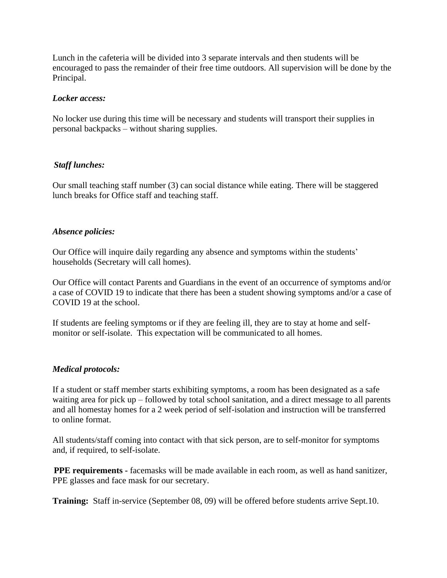Lunch in the cafeteria will be divided into 3 separate intervals and then students will be encouraged to pass the remainder of their free time outdoors. All supervision will be done by the Principal.

### *Locker access:*

No locker use during this time will be necessary and students will transport their supplies in personal backpacks – without sharing supplies.

### *Staff lunches:*

Our small teaching staff number (3) can social distance while eating. There will be staggered lunch breaks for Office staff and teaching staff.

### *Absence policies:*

Our Office will inquire daily regarding any absence and symptoms within the students' households (Secretary will call homes).

Our Office will contact Parents and Guardians in the event of an occurrence of symptoms and/or a case of COVID 19 to indicate that there has been a student showing symptoms and/or a case of COVID 19 at the school.

If students are feeling symptoms or if they are feeling ill, they are to stay at home and selfmonitor or self-isolate. This expectation will be communicated to all homes.

### *Medical protocols:*

If a student or staff member starts exhibiting symptoms, a room has been designated as a safe waiting area for pick up – followed by total school sanitation, and a direct message to all parents and all homestay homes for a 2 week period of self-isolation and instruction will be transferred to online format.

All students/staff coming into contact with that sick person, are to self-monitor for symptoms and, if required, to self-isolate.

**PPE requirements -** facemasks will be made available in each room, as well as hand sanitizer, PPE glasses and face mask for our secretary.

**Training:** Staff in-service (September 08, 09) will be offered before students arrive Sept.10.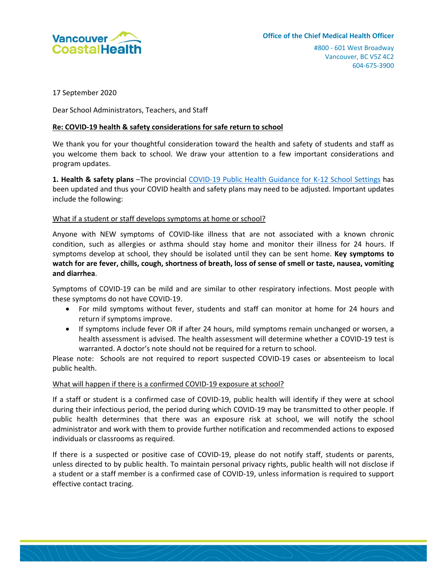

17 September 2020

Dear School Administrators, Teachers, and Staff

#### **Re: COVID-19 health & safety considerations for safe return to school**

We thank you for your thoughtful consideration toward the health and safety of students and staff as you welcome them back to school. We draw your attention to a few important considerations and program updates.

**1. Health & safety plans** –The provincial [COVID-19 Public Health Guidance for K-12 School Settings](http://www.bccdc.ca/Health-Info-Site/Documents/COVID_public_guidance/Guidance-k-12-schools.pdf) has been updated and thus your COVID health and safety plans may need to be adjusted. Important updates include the following:

#### What if a student or staff develops symptoms at home or school?

Anyone with NEW symptoms of COVID-like illness that are not associated with a known chronic condition, such as allergies or asthma should stay home and monitor their illness for 24 hours. If symptoms develop at school, they should be isolated until they can be sent home. **Key symptoms to watch for are fever, chills, cough, shortness of breath, loss of sense of smell or taste, nausea, vomiting and diarrhea**.

Symptoms of COVID-19 can be mild and are similar to other respiratory infections. Most people with these symptoms do not have COVID-19.

- For mild symptoms without fever, students and staff can monitor at home for 24 hours and return if symptoms improve.
- If symptoms include fever OR if after 24 hours, mild symptoms remain unchanged or worsen, a health assessment is advised. The health assessment will determine whether a COVID-19 test is warranted. A doctor's note should not be required for a return to school.

Please note: Schools are not required to report suspected COVID-19 cases or absenteeism to local public health.

#### What will happen if there is a confirmed COVID-19 exposure at school?

If a staff or student is a confirmed case of COVID-19, public health will identify if they were at school during their infectious period, the period during which COVID-19 may be transmitted to other people. If public health determines that there was an exposure risk at school, we will notify the school administrator and work with them to provide further notification and recommended actions to exposed individuals or classrooms as required.

If there is a suspected or positive case of COVID-19, please do not notify staff, students or parents, unless directed to by public health. To maintain personal privacy rights, public health will not disclose if a student or a staff member is a confirmed case of COVID-19, unless information is required to support effective contact tracing.